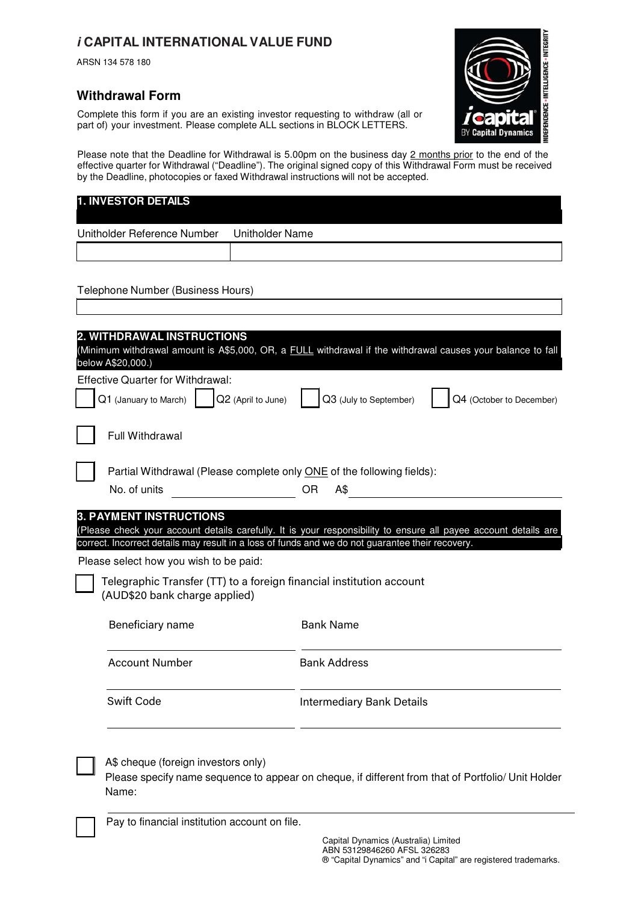# **i CAPITAL INTERNATIONAL VALUE FUND**

ARSN 134 578 180

### **Withdrawal Form**

Complete this form if you are an existing investor requesting to withdraw (all or part of) your investment. Please complete ALL sections in BLOCK LETTERS.

**INTELLIGENCE - INTEGRIT IDEPENDENCE** amics

Please note that the Deadline for Withdrawal is 5.00pm on the business day 2 months prior to the end of the effective quarter for Withdrawal ("Deadline"). The original signed copy of this Withdrawal Form must be received by the Deadline, photocopies or faxed Withdrawal instructions will not be accepted.

| <b>1. INVESTOR DETAILS</b>                                        |                                                                                                                                                                                                                     |
|-------------------------------------------------------------------|---------------------------------------------------------------------------------------------------------------------------------------------------------------------------------------------------------------------|
| Unitholder Reference Number                                       | <b>Unitholder Name</b>                                                                                                                                                                                              |
|                                                                   |                                                                                                                                                                                                                     |
| Telephone Number (Business Hours)                                 |                                                                                                                                                                                                                     |
|                                                                   |                                                                                                                                                                                                                     |
| 2. WITHDRAWAL INSTRUCTIONS<br>below A\$20,000.)                   | (Minimum withdrawal amount is A\$5,000, OR, a <b>FULL</b> withdrawal if the withdrawal causes your balance to fall                                                                                                  |
| <b>Effective Quarter for Withdrawal:</b><br>Q1 (January to March) | Q3 (July to September)<br>Q4 (October to December)<br>Q2 (April to June)                                                                                                                                            |
| Full Withdrawal                                                   |                                                                                                                                                                                                                     |
| No. of units                                                      | Partial Withdrawal (Please complete only ONE of the following fields):<br><b>OR</b><br>A\$                                                                                                                          |
| <b>3. PAYMENT INSTRUCTIONS</b>                                    | (Please check your account details carefully. It is your responsibility to ensure all payee account details are<br>correct. Incorrect details may result in a loss of funds and we do not guarantee their recovery. |
| Please select how you wish to be paid:                            |                                                                                                                                                                                                                     |
| (AUD\$20 bank charge applied)                                     | Telegraphic Transfer (TT) to a foreign financial institution account                                                                                                                                                |
| Beneficiary name                                                  | <b>Bank Name</b>                                                                                                                                                                                                    |
| <b>Account Number</b>                                             | <b>Bank Address</b>                                                                                                                                                                                                 |
| <b>Swift Code</b>                                                 | <b>Intermediary Bank Details</b>                                                                                                                                                                                    |
| A\$ cheque (foreign investors only)<br>Name:                      | Please specify name sequence to appear on cheque, if different from that of Portfolio/ Unit Holder                                                                                                                  |

Pay to financial institution account on file.